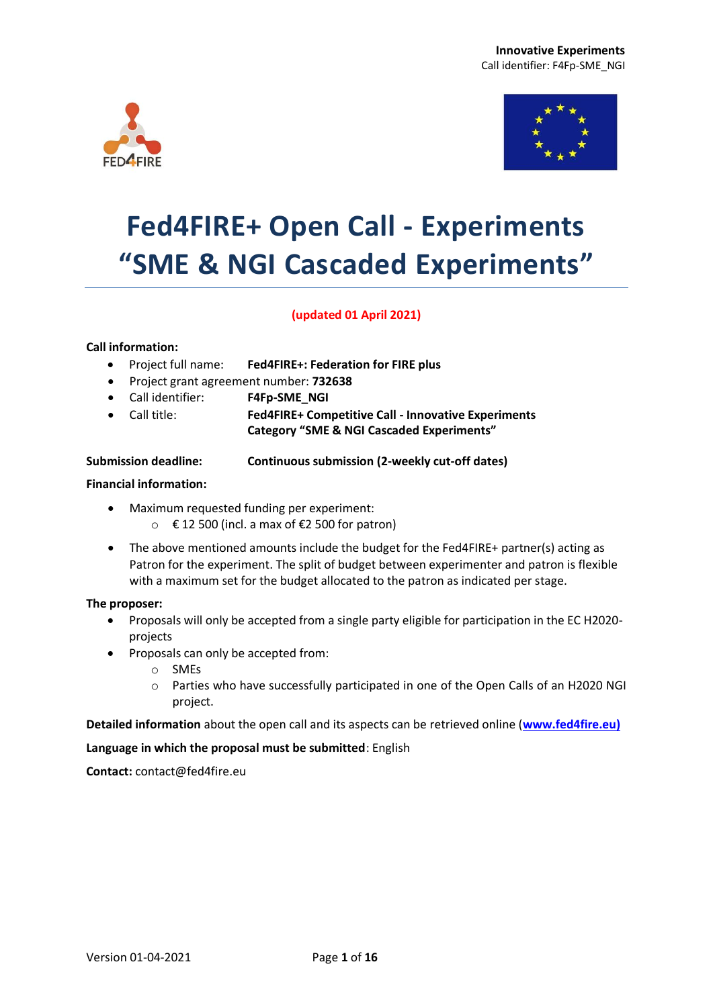



# **Fed4FIRE+ Open Call - Experiments "SME & NGI Cascaded Experiments"**

#### **(updated 01 April 2021)**

#### **Call information:**

- Project full name: **Fed4FIRE+: Federation for FIRE plus**
- Project grant agreement number: **732638**
- Call identifier: **F4Fp-SME\_NGI**
- Call title: **Fed4FIRE+ Competitive Call - Innovative Experiments**

**Category "SME & NGI Cascaded Experiments"**

**Submission deadline: Continuous submission (2-weekly cut-off dates)**

#### **Financial information:**

- Maximum requested funding per experiment:
	- $\circ$  € 12 500 (incl. a max of €2 500 for patron)
- The above mentioned amounts include the budget for the Fed4FIRE+ partner(s) acting as Patron for the experiment. The split of budget between experimenter and patron is flexible with a maximum set for the budget allocated to the patron as indicated per stage.

#### **The proposer:**

- Proposals will only be accepted from a single party eligible for participation in the EC H2020 projects
- Proposals can only be accepted from:
	- o SMEs
	- o Parties who have successfully participated in one of the Open Calls of an H2020 NGI project.

**Detailed information** about the open call and its aspects can be retrieved online (**[www.fed4fire.eu\)](http://www.ict-openlab.eu/)**

**Language in which the proposal must be submitted**: English

**Contact:** contact@fed4fire.eu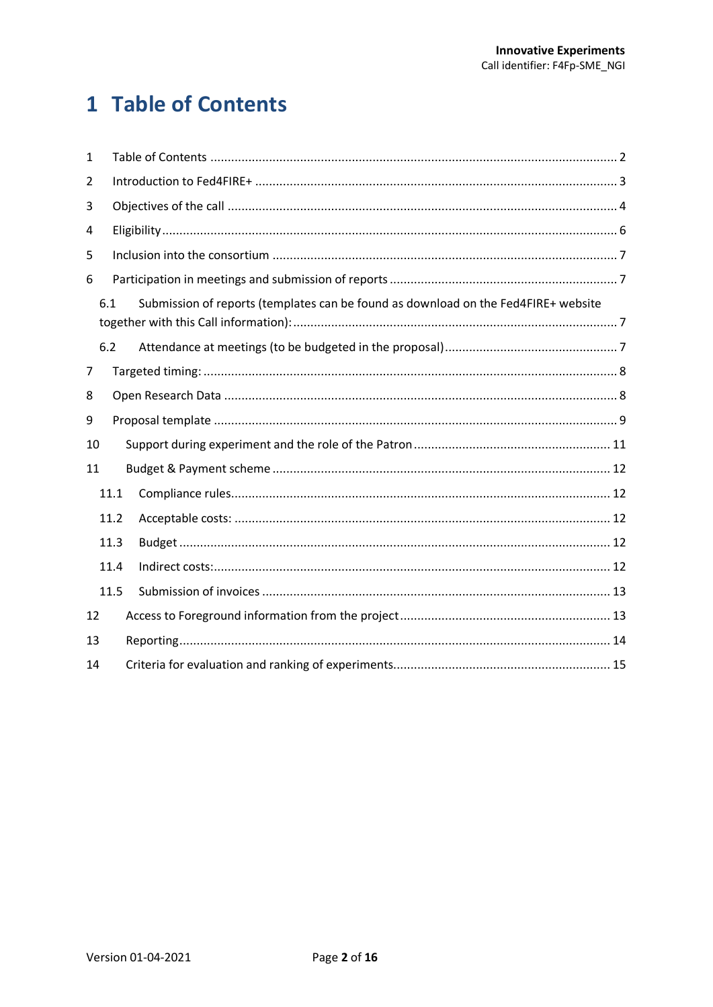# <span id="page-1-0"></span>1 Table of Contents

| $\mathbf{1}$ |      |  |                                                                                    |  |  |  |
|--------------|------|--|------------------------------------------------------------------------------------|--|--|--|
| 2            |      |  |                                                                                    |  |  |  |
| 3            |      |  |                                                                                    |  |  |  |
| 4            |      |  |                                                                                    |  |  |  |
| 5            |      |  |                                                                                    |  |  |  |
| 6            |      |  |                                                                                    |  |  |  |
|              | 6.1  |  | Submission of reports (templates can be found as download on the Fed4FIRE+ website |  |  |  |
|              | 6.2  |  |                                                                                    |  |  |  |
| 7            |      |  |                                                                                    |  |  |  |
| 8            |      |  |                                                                                    |  |  |  |
| 9            |      |  |                                                                                    |  |  |  |
| 10           |      |  |                                                                                    |  |  |  |
| 11           |      |  |                                                                                    |  |  |  |
|              | 11.1 |  |                                                                                    |  |  |  |
| 11.2         |      |  |                                                                                    |  |  |  |
|              | 11.3 |  |                                                                                    |  |  |  |
|              | 11.4 |  |                                                                                    |  |  |  |
|              | 11.5 |  |                                                                                    |  |  |  |
| 12           |      |  |                                                                                    |  |  |  |
| 13           |      |  |                                                                                    |  |  |  |
| 14           |      |  |                                                                                    |  |  |  |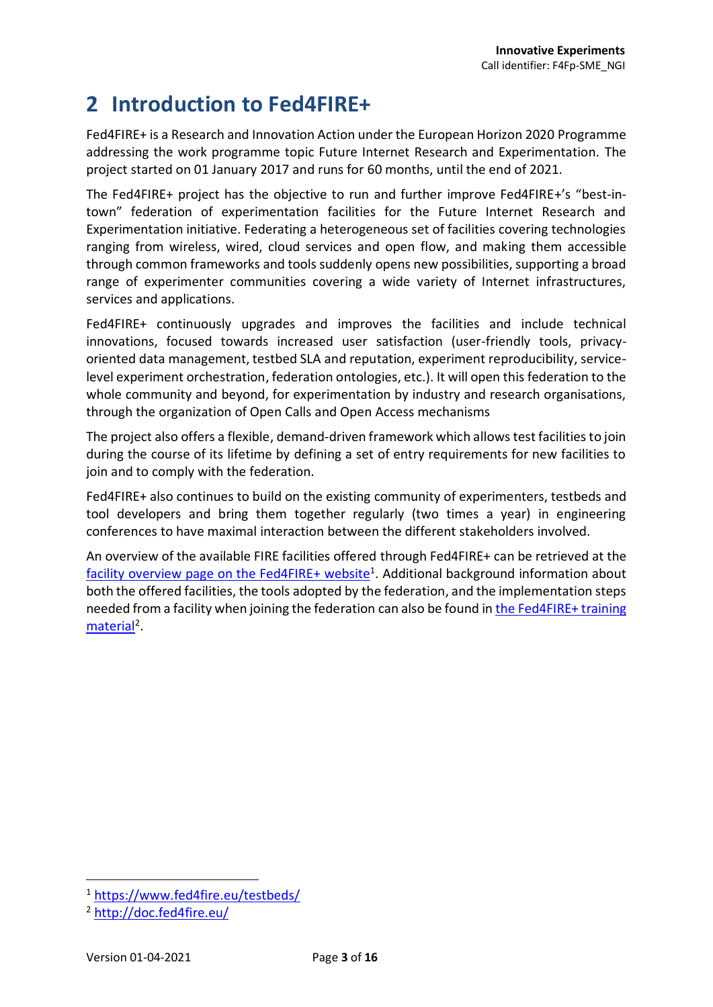# <span id="page-2-0"></span>**2 Introduction to Fed4FIRE+**

Fed4FIRE+ is a Research and Innovation Action under the European Horizon 2020 Programme addressing the work programme topic Future Internet Research and Experimentation. The project started on 01 January 2017 and runs for 60 months, until the end of 2021.

The Fed4FIRE+ project has the objective to run and further improve Fed4FIRE+'s "best-intown" federation of experimentation facilities for the Future Internet Research and Experimentation initiative. Federating a heterogeneous set of facilities covering technologies ranging from wireless, wired, cloud services and open flow, and making them accessible through common frameworks and tools suddenly opens new possibilities, supporting a broad range of experimenter communities covering a wide variety of Internet infrastructures, services and applications.

Fed4FIRE+ continuously upgrades and improves the facilities and include technical innovations, focused towards increased user satisfaction (user-friendly tools, privacyoriented data management, testbed SLA and reputation, experiment reproducibility, servicelevel experiment orchestration, federation ontologies, etc.). It will open this federation to the whole community and beyond, for experimentation by industry and research organisations, through the organization of Open Calls and Open Access mechanisms

The project also offers a flexible, demand-driven framework which allows test facilities to join during the course of its lifetime by defining a set of entry requirements for new facilities to join and to comply with the federation.

Fed4FIRE+ also continues to build on the existing community of experimenters, testbeds and tool developers and bring them together regularly (two times a year) in engineering conferences to have maximal interaction between the different stakeholders involved.

<span id="page-2-1"></span>An overview of the available FIRE facilities offered through Fed4FIRE+ can be retrieved at the [facility overview page on the Fed4FIRE+](https://www.fed4fire.eu/testbeds/) website<sup>1</sup>. Additional background information about both the offered facilities, the tools adopted by the federation, and the implementation steps needed from a facility when joining the federation can also be found in [the Fed4FIRE+](http://doc.fed4fire.eu/) training [material](http://doc.fed4fire.eu/)<sup>2</sup>.

1

<sup>1</sup> <https://www.fed4fire.eu/testbeds/>

<sup>2</sup> <http://doc.fed4fire.eu/>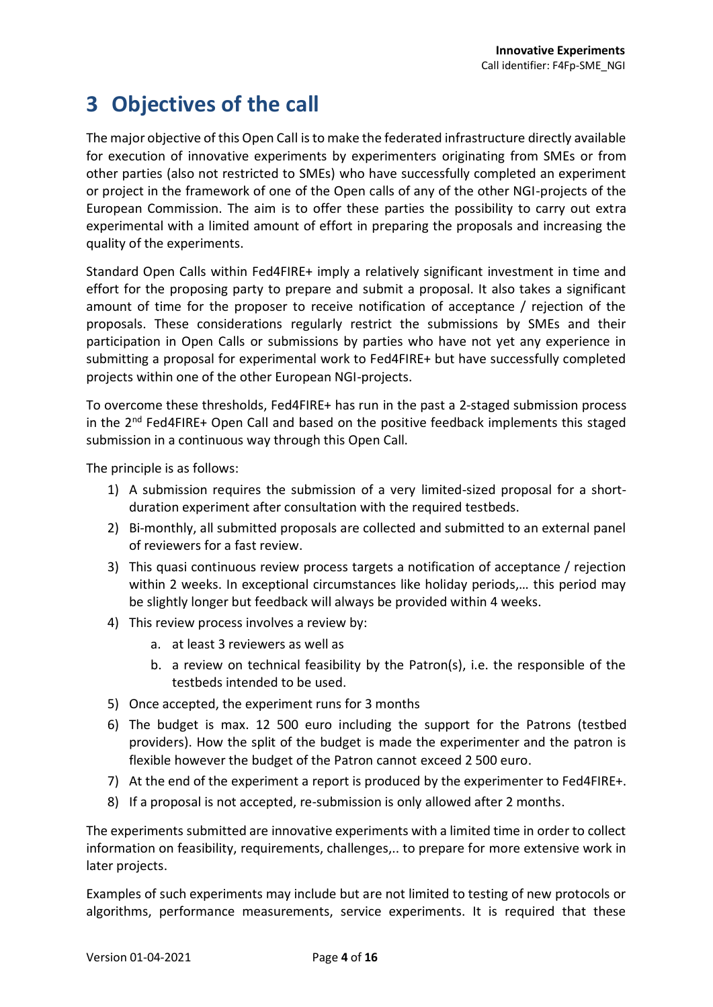# <span id="page-3-0"></span>**3 Objectives of the call**

The major objective of this Open Call is to make the federated infrastructure directly available for execution of innovative experiments by experimenters originating from SMEs or from other parties (also not restricted to SMEs) who have successfully completed an experiment or project in the framework of one of the Open calls of any of the other NGI-projects of the European Commission. The aim is to offer these parties the possibility to carry out extra experimental with a limited amount of effort in preparing the proposals and increasing the quality of the experiments.

Standard Open Calls within Fed4FIRE+ imply a relatively significant investment in time and effort for the proposing party to prepare and submit a proposal. It also takes a significant amount of time for the proposer to receive notification of acceptance / rejection of the proposals. These considerations regularly restrict the submissions by SMEs and their participation in Open Calls or submissions by parties who have not yet any experience in submitting a proposal for experimental work to Fed4FIRE+ but have successfully completed projects within one of the other European NGI-projects.

To overcome these thresholds, Fed4FIRE+ has run in the past a 2-staged submission process in the  $2<sup>nd</sup>$  Fed4FIRE+ Open Call and based on the positive feedback implements this staged submission in a continuous way through this Open Call.

The principle is as follows:

- 1) A submission requires the submission of a very limited-sized proposal for a shortduration experiment after consultation with the required testbeds.
- 2) Bi-monthly, all submitted proposals are collected and submitted to an external panel of reviewers for a fast review.
- 3) This quasi continuous review process targets a notification of acceptance / rejection within 2 weeks. In exceptional circumstances like holiday periods,… this period may be slightly longer but feedback will always be provided within 4 weeks.
- 4) This review process involves a review by:
	- a. at least 3 reviewers as well as
	- b. a review on technical feasibility by the Patron(s), i.e. the responsible of the testbeds intended to be used.
- 5) Once accepted, the experiment runs for 3 months
- 6) The budget is max. 12 500 euro including the support for the Patrons (testbed providers). How the split of the budget is made the experimenter and the patron is flexible however the budget of the Patron cannot exceed 2 500 euro.
- 7) At the end of the experiment a report is produced by the experimenter to Fed4FIRE+.
- 8) If a proposal is not accepted, re-submission is only allowed after 2 months.

The experiments submitted are innovative experiments with a limited time in order to collect information on feasibility, requirements, challenges,.. to prepare for more extensive work in later projects.

Examples of such experiments may include but are not limited to testing of new protocols or algorithms, performance measurements, service experiments. It is required that these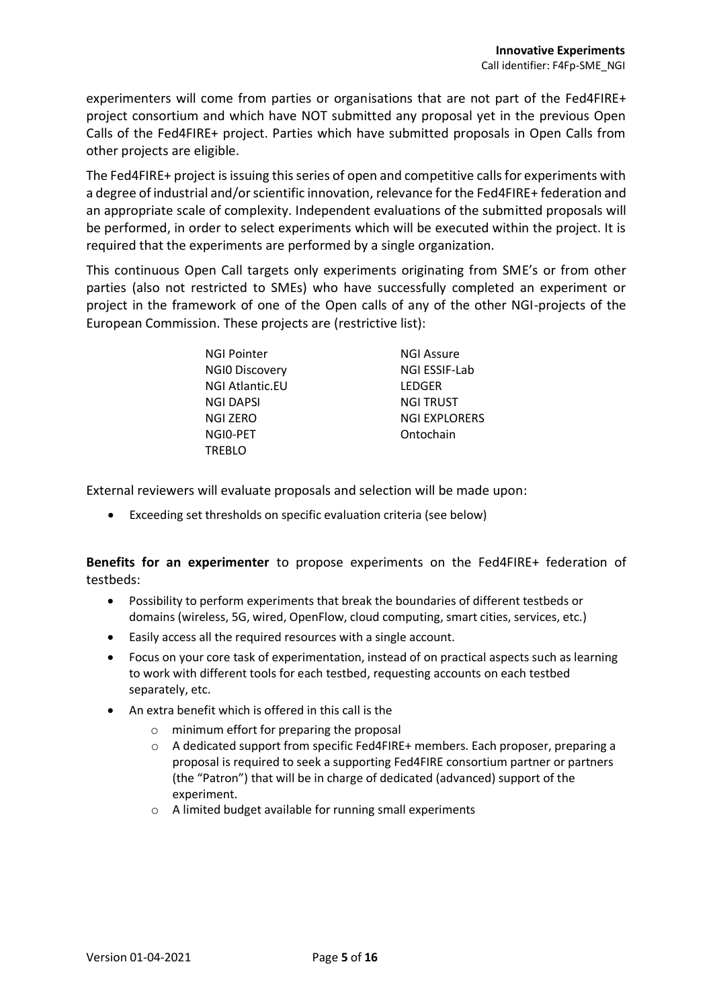experimenters will come from parties or organisations that are not part of the Fed4FIRE+ project consortium and which have NOT submitted any proposal yet in the previous Open Calls of the Fed4FIRE+ project. Parties which have submitted proposals in Open Calls from other projects are eligible.

The Fed4FIRE+ project is issuing this series of open and competitive calls for experiments with a degree of industrial and/or scientific innovation, relevance for the Fed4FIRE+ federation and an appropriate scale of complexity. Independent evaluations of the submitted proposals will be performed, in order to select experiments which will be executed within the project. It is required that the experiments are performed by a single organization.

This continuous Open Call targets only experiments originating from SME's or from other parties (also not restricted to SMEs) who have successfully completed an experiment or project in the framework of one of the Open calls of any of the other NGI-projects of the European Commission. These projects are (restrictive list):

| <b>NGI Pointer</b>     | <b>NGI Assure</b>    |
|------------------------|----------------------|
| <b>NGIO Discovery</b>  | NGI ESSIF-Lab        |
| <b>NGI Atlantic.EU</b> | LEDGER               |
| <b>NGI DAPSI</b>       | <b>NGI TRUST</b>     |
| NGI ZERO               | <b>NGI EXPLORERS</b> |
| NGIO-PET               | Ontochain            |
| <b>TREBLO</b>          |                      |

External reviewers will evaluate proposals and selection will be made upon:

Exceeding set thresholds on specific evaluation criteria (see below)

**Benefits for an experimenter** to propose experiments on the Fed4FIRE+ federation of testbeds:

- Possibility to perform experiments that break the boundaries of different testbeds or domains (wireless, 5G, wired, OpenFlow, cloud computing, smart cities, services, etc.)
- Easily access all the required resources with a single account.
- Focus on your core task of experimentation, instead of on practical aspects such as learning to work with different tools for each testbed, requesting accounts on each testbed separately, etc.
- An extra benefit which is offered in this call is the
	- o minimum effort for preparing the proposal
	- o A dedicated support from specific Fed4FIRE+ members. Each proposer, preparing a proposal is required to seek a supporting Fed4FIRE consortium partner or partners (the "Patron") that will be in charge of dedicated (advanced) support of the experiment.
	- o A limited budget available for running small experiments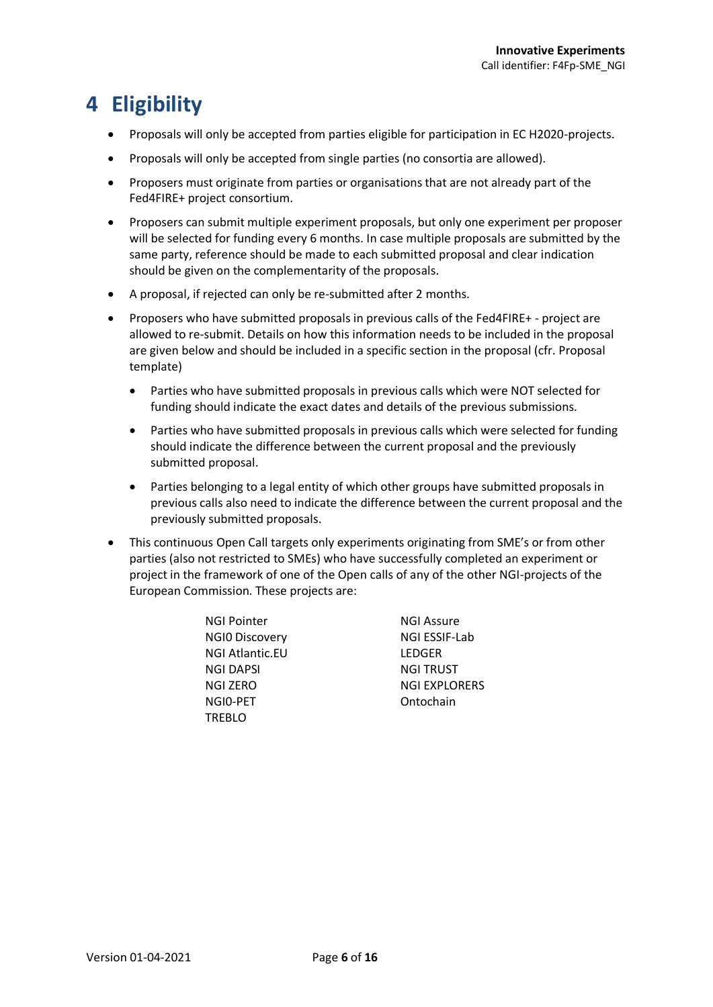# <span id="page-5-0"></span>**4 Eligibility**

- Proposals will only be accepted from parties eligible for participation in EC H2020-projects.
- Proposals will only be accepted from single parties (no consortia are allowed).
- Proposers must originate from parties or organisations that are not already part of the Fed4FIRE+ project consortium.
- Proposers can submit multiple experiment proposals, but only one experiment per proposer will be selected for funding every 6 months. In case multiple proposals are submitted by the same party, reference should be made to each submitted proposal and clear indication should be given on the complementarity of the proposals.
- A proposal, if rejected can only be re-submitted after 2 months.
- Proposers who have submitted proposals in previous calls of the Fed4FIRE+ project are allowed to re-submit. Details on how this information needs to be included in the proposal are given below and should be included in a specific section in the proposal (cfr. Proposal template)
	- Parties who have submitted proposals in previous calls which were NOT selected for funding should indicate the exact dates and details of the previous submissions.
	- Parties who have submitted proposals in previous calls which were selected for funding should indicate the difference between the current proposal and the previously submitted proposal.
	- Parties belonging to a legal entity of which other groups have submitted proposals in previous calls also need to indicate the difference between the current proposal and the previously submitted proposals.
- This continuous Open Call targets only experiments originating from SME's or from other parties (also not restricted to SMEs) who have successfully completed an experiment or project in the framework of one of the Open calls of any of the other NGI-projects of the European Commission. These projects are:
	- NGI Pointer NGI Assure NGI0 Discovery NGI ESSIF-Lab NGI Atlantic.EU LEDGER NGI DAPSI NGI TRUST NGI0-PET Ontochain TREBLO

NGI ZERO NGI EXPLORERS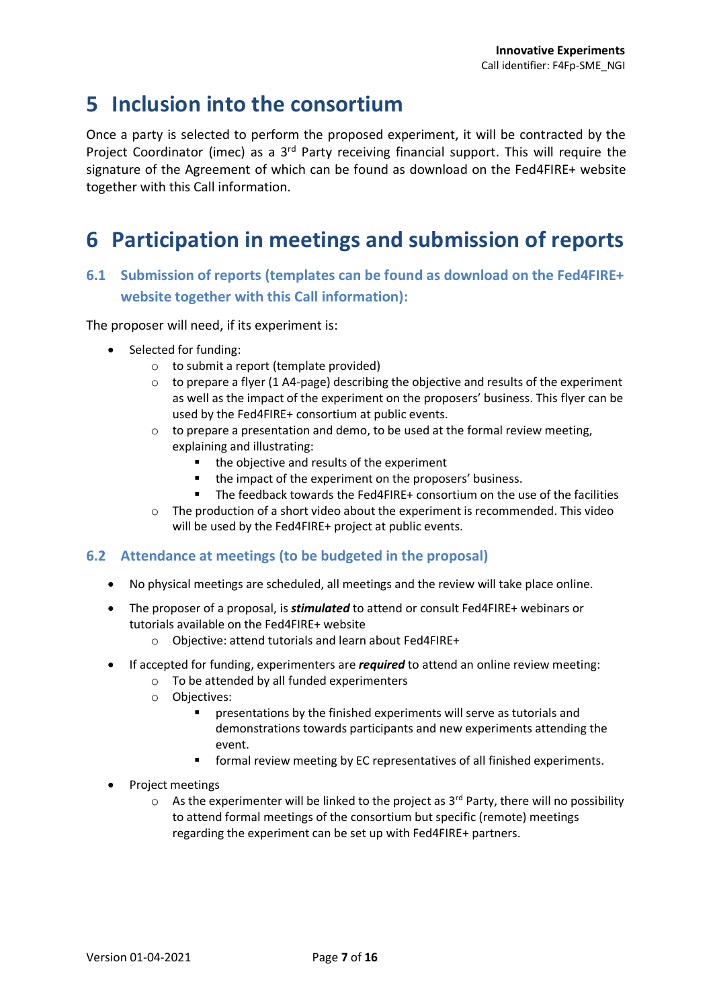### <span id="page-6-0"></span>**5 Inclusion into the consortium**

Once a party is selected to perform the proposed experiment, it will be contracted by the Project Coordinator (imec) as a 3<sup>rd</sup> Party receiving financial support. This will require the signature of the Agreement of which can be found as download on the Fed4FIRE+ website together with this Call information.

## <span id="page-6-1"></span>**6 Participation in meetings and submission of reports**

#### <span id="page-6-2"></span>**6.1 Submission of reports (templates can be found as download on the Fed4FIRE+ website together with this Call information):**

The proposer will need, if its experiment is:

- Selected for funding:
	- o to submit a report (template provided)
	- $\circ$  to prepare a flyer (1 A4-page) describing the objective and results of the experiment as well as the impact of the experiment on the proposers' business. This flyer can be used by the Fed4FIRE+ consortium at public events.
	- o to prepare a presentation and demo, to be used at the formal review meeting, explaining and illustrating:
		- the objective and results of the experiment
		- the impact of the experiment on the proposers' business.
		- The feedback towards the Fed4FIRE+ consortium on the use of the facilities
	- $\circ$  The production of a short video about the experiment is recommended. This video will be used by the Fed4FIRE+ project at public events.

#### <span id="page-6-3"></span>**6.2 Attendance at meetings (to be budgeted in the proposal)**

- No physical meetings are scheduled, all meetings and the review will take place online.
- The proposer of a proposal, is *stimulated* to attend or consult Fed4FIRE+ webinars or tutorials available on the Fed4FIRE+ website
	- o Objective: attend tutorials and learn about Fed4FIRE+
- If accepted for funding, experimenters are *required* to attend an online review meeting:
	- o To be attended by all funded experimenters
	- o Objectives:
		- presentations by the finished experiments will serve as tutorials and demonstrations towards participants and new experiments attending the event.
		- **F** formal review meeting by EC representatives of all finished experiments.
- Project meetings
	- $\circ$  As the experimenter will be linked to the project as 3<sup>rd</sup> Party, there will no possibility to attend formal meetings of the consortium but specific (remote) meetings regarding the experiment can be set up with Fed4FIRE+ partners.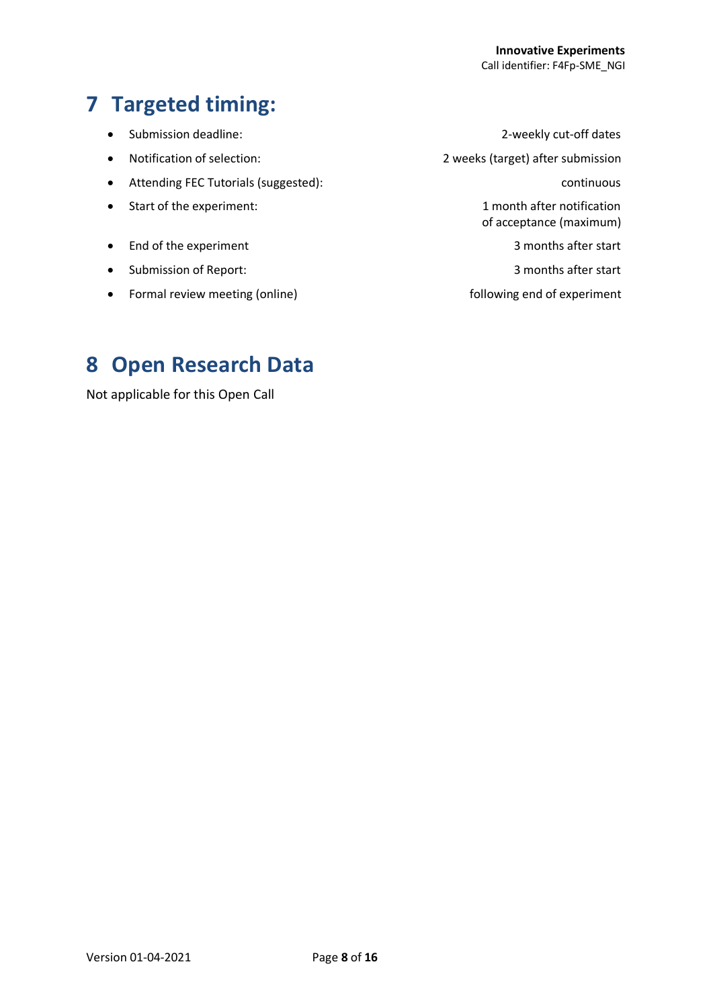# <span id="page-7-0"></span>**7 Targeted timing:**

- 
- 
- Attending FEC Tutorials (suggested): continuous
- Start of the experiment:  $\bullet$  1 month after notification
- End of the experiment 3 months after start
- Submission of Report: 3 months after start
- Formal review meeting (online) end of experiment

Submission deadline: 2-weekly cut-off dates

Notification of selection: 2 weeks (target) after submission

of acceptance (maximum)

# <span id="page-7-1"></span>**8 Open Research Data**

Not applicable for this Open Call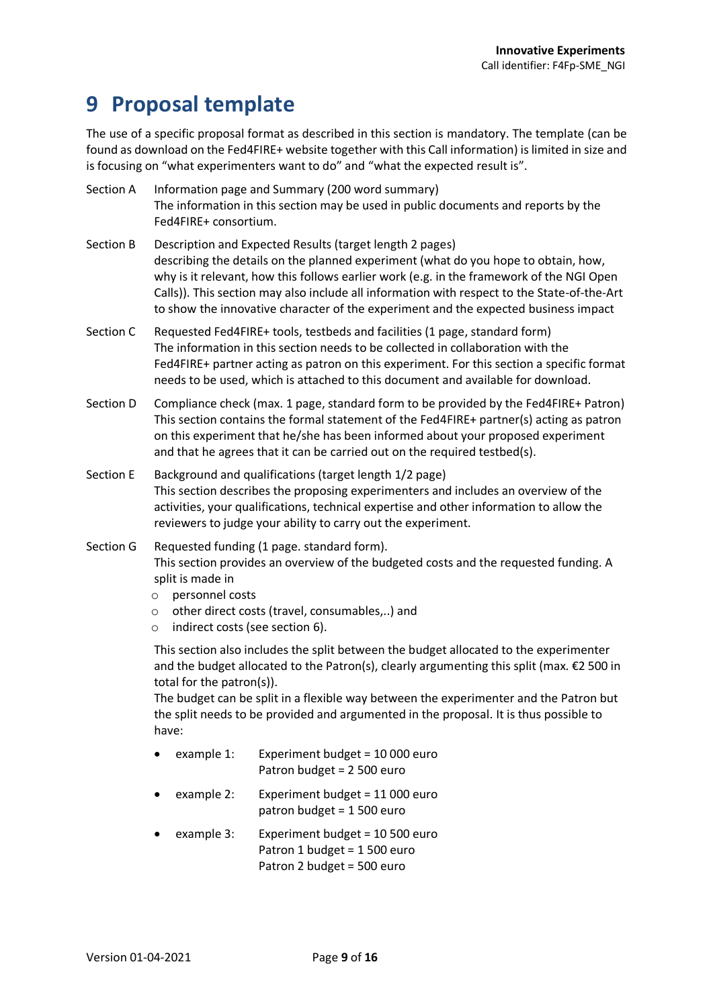### <span id="page-8-0"></span>**9 Proposal template**

The use of a specific proposal format as described in this section is mandatory. The template (can be found as download on the Fed4FIRE+ website together with this Call information) is limited in size and is focusing on "what experimenters want to do" and "what the expected result is".

| Section A | Information page and Summary (200 word summary)<br>The information in this section may be used in public documents and reports by the<br>Fed4FIRE+ consortium.                                                                                                                                                                                                                                                                   |
|-----------|----------------------------------------------------------------------------------------------------------------------------------------------------------------------------------------------------------------------------------------------------------------------------------------------------------------------------------------------------------------------------------------------------------------------------------|
| Section B | Description and Expected Results (target length 2 pages)<br>describing the details on the planned experiment (what do you hope to obtain, how,<br>why is it relevant, how this follows earlier work (e.g. in the framework of the NGI Open<br>Calls)). This section may also include all information with respect to the State-of-the-Art<br>to show the innovative character of the experiment and the expected business impact |
| Section C | Requested Fed4FIRE+ tools, testbeds and facilities (1 page, standard form)<br>The information in this section needs to be collected in collaboration with the<br>Fed4FIRE+ partner acting as patron on this experiment. For this section a specific format<br>needs to be used, which is attached to this document and available for download.                                                                                   |
| Section D | Compliance check (max. 1 page, standard form to be provided by the Fed4FIRE+ Patron)<br>This section contains the formal statement of the Fed4FIRE+ partner(s) acting as patron<br>on this experiment that he/she has been informed about your proposed experiment<br>and that he agrees that it can be carried out on the required testbed(s).                                                                                  |
| Section E | Background and qualifications (target length 1/2 page)<br>This section describes the proposing experimenters and includes an overview of the                                                                                                                                                                                                                                                                                     |

Section G Requested funding (1 page. standard form). This section provides an overview of the budgeted costs and the requested funding. A split is made in

activities, your qualifications, technical expertise and other information to allow the

- o personnel costs
- o other direct costs (travel, consumables,..) and

reviewers to judge your ability to carry out the experiment.

o indirect costs (see section 6).

This section also includes the split between the budget allocated to the experimenter and the budget allocated to the Patron(s), clearly argumenting this split (max.  $\epsilon$ 2 500 in total for the patron(s)).

The budget can be split in a flexible way between the experimenter and the Patron but the split needs to be provided and argumented in the proposal. It is thus possible to have:

- example 1: Experiment budget = 10 000 euro Patron budget = 2 500 euro
- example 2: Experiment budget = 11 000 euro patron budget = 1 500 euro
- example 3: Experiment budget = 10 500 euro Patron 1 budget = 1 500 euro Patron 2 budget = 500 euro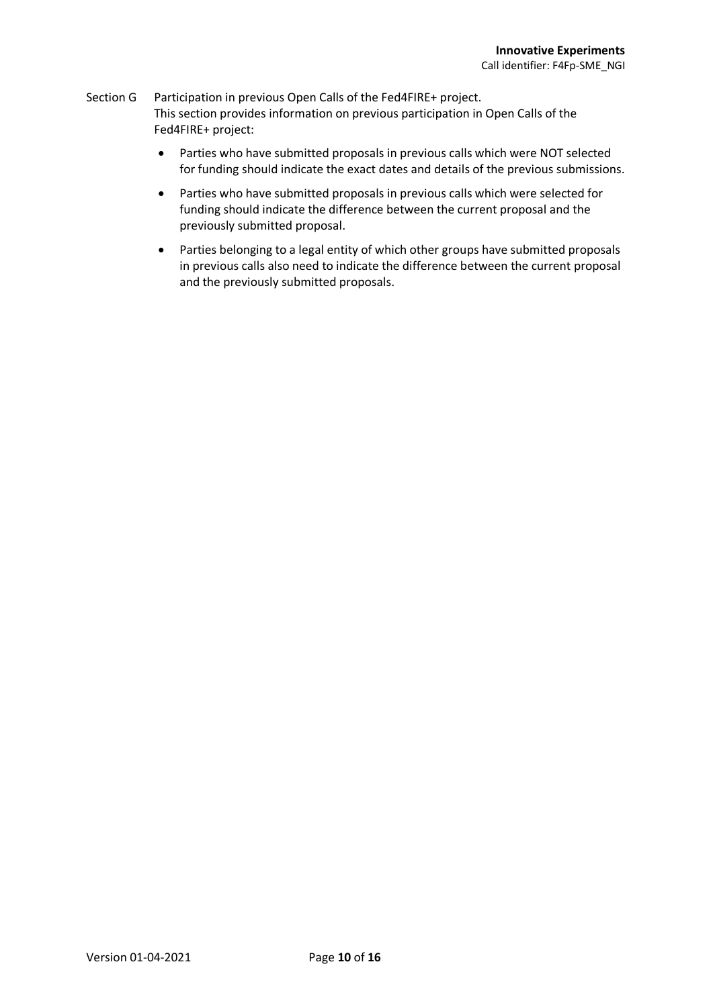#### Section G Participation in previous Open Calls of the Fed4FIRE+ project. This section provides information on previous participation in Open Calls of the Fed4FIRE+ project:

- Parties who have submitted proposals in previous calls which were NOT selected for funding should indicate the exact dates and details of the previous submissions.
- Parties who have submitted proposals in previous calls which were selected for funding should indicate the difference between the current proposal and the previously submitted proposal.
- Parties belonging to a legal entity of which other groups have submitted proposals in previous calls also need to indicate the difference between the current proposal and the previously submitted proposals.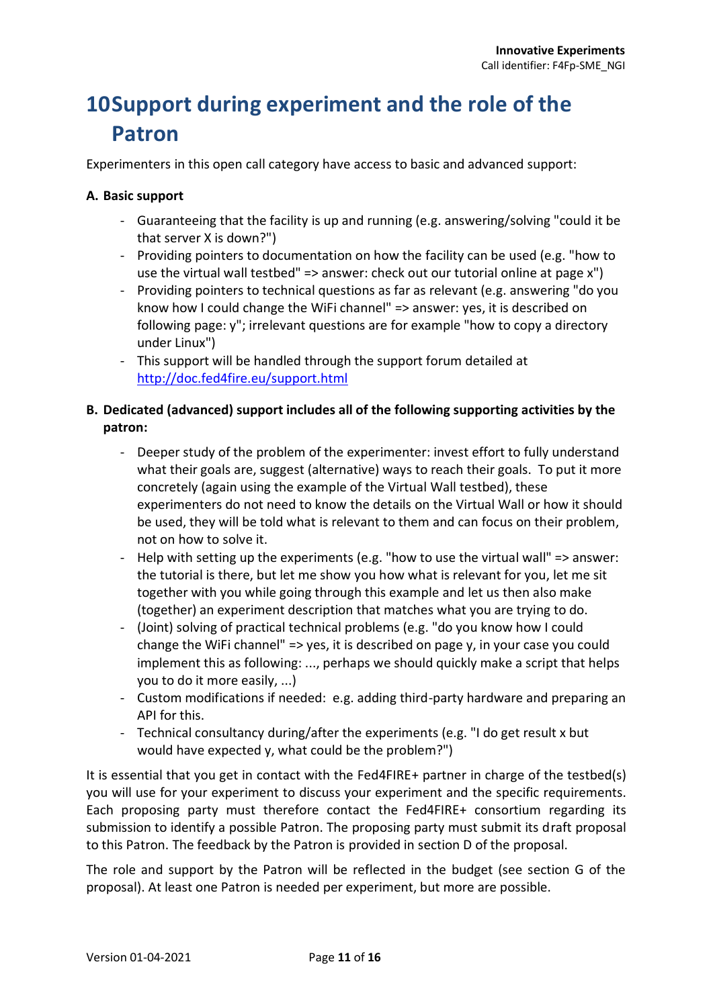# <span id="page-10-0"></span>**10Support during experiment and the role of the Patron**

Experimenters in this open call category have access to basic and advanced support:

#### **A. Basic support**

- Guaranteeing that the facility is up and running (e.g. answering/solving "could it be that server X is down?")
- Providing pointers to documentation on how the facility can be used (e.g. "how to use the virtual wall testbed" => answer: check out our tutorial online at page x")
- Providing pointers to technical questions as far as relevant (e.g. answering "do you know how I could change the WiFi channel" => answer: yes, it is described on following page: y"; irrelevant questions are for example "how to copy a directory under Linux")
- This support will be handled through the support forum detailed at <http://doc.fed4fire.eu/support.html>

#### **B. Dedicated (advanced) support includes all of the following supporting activities by the patron:**

- Deeper study of the problem of the experimenter: invest effort to fully understand what their goals are, suggest (alternative) ways to reach their goals. To put it more concretely (again using the example of the Virtual Wall testbed), these experimenters do not need to know the details on the Virtual Wall or how it should be used, they will be told what is relevant to them and can focus on their problem, not on how to solve it.
- Help with setting up the experiments (e.g. "how to use the virtual wall" => answer: the tutorial is there, but let me show you how what is relevant for you, let me sit together with you while going through this example and let us then also make (together) an experiment description that matches what you are trying to do.
- (Joint) solving of practical technical problems (e.g. "do you know how I could change the WiFi channel" => yes, it is described on page y, in your case you could implement this as following: ..., perhaps we should quickly make a script that helps you to do it more easily, ...)
- Custom modifications if needed: e.g. adding third-party hardware and preparing an API for this.
- Technical consultancy during/after the experiments (e.g. "I do get result x but would have expected y, what could be the problem?")

It is essential that you get in contact with the Fed4FIRE+ partner in charge of the testbed(s) you will use for your experiment to discuss your experiment and the specific requirements. Each proposing party must therefore contact the Fed4FIRE+ consortium regarding its submission to identify a possible Patron. The proposing party must submit its draft proposal to this Patron. The feedback by the Patron is provided in section D of the proposal.

The role and support by the Patron will be reflected in the budget (see section G of the proposal). At least one Patron is needed per experiment, but more are possible.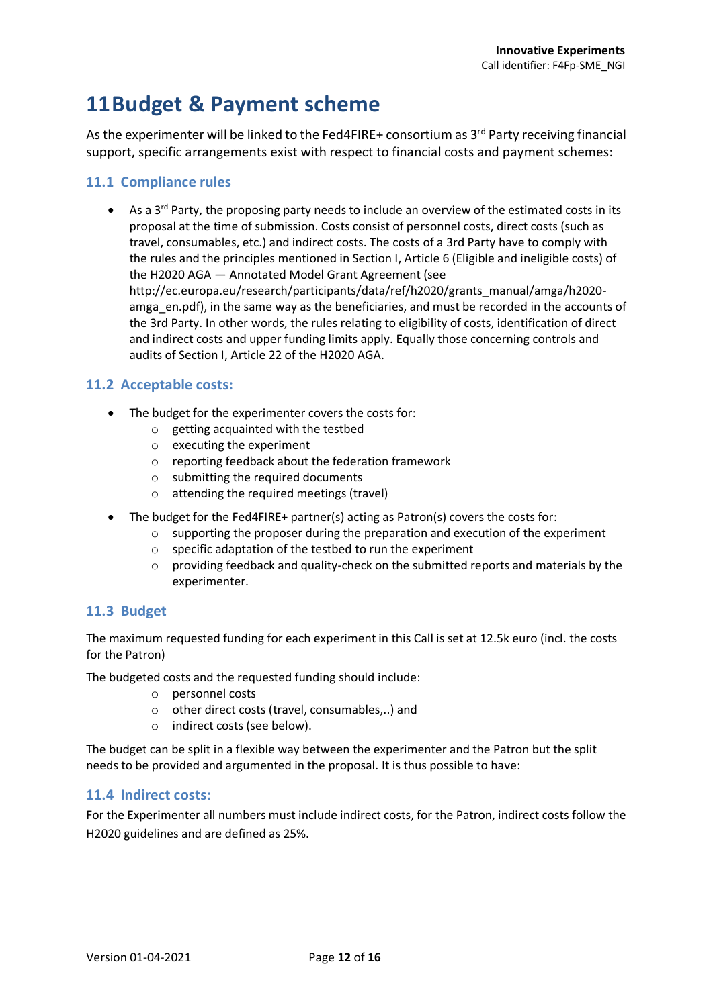# <span id="page-11-0"></span>**11Budget & Payment scheme**

As the experimenter will be linked to the Fed4FIRE+ consortium as 3<sup>rd</sup> Party receiving financial support, specific arrangements exist with respect to financial costs and payment schemes:

#### <span id="page-11-1"></span>**11.1 Compliance rules**

As a  $3^{rd}$  Party, the proposing party needs to include an overview of the estimated costs in its proposal at the time of submission. Costs consist of personnel costs, direct costs (such as travel, consumables, etc.) and indirect costs. The costs of a 3rd Party have to comply with the rules and the principles mentioned in Section I, Article 6 (Eligible and ineligible costs) of the H2020 AGA — Annotated Model Grant Agreement (see http://ec.europa.eu/research/participants/data/ref/h2020/grants\_manual/amga/h2020 amga en.pdf), in the same way as the beneficiaries, and must be recorded in the accounts of the 3rd Party. In other words, the rules relating to eligibility of costs, identification of direct and indirect costs and upper funding limits apply. Equally those concerning controls and audits of Section I, Article 22 of the H2020 AGA.

#### <span id="page-11-2"></span>**11.2 Acceptable costs:**

- The budget for the experimenter covers the costs for:
	- o getting acquainted with the testbed
	- o executing the experiment
	- o reporting feedback about the federation framework
	- o submitting the required documents
	- o attending the required meetings (travel)
- The budget for the Fed4FIRE+ partner(s) acting as Patron(s) covers the costs for:
	- $\circ$  supporting the proposer during the preparation and execution of the experiment
	- o specific adaptation of the testbed to run the experiment
	- $\circ$  providing feedback and quality-check on the submitted reports and materials by the experimenter.

#### <span id="page-11-3"></span>**11.3 Budget**

The maximum requested funding for each experiment in this Call is set at 12.5k euro (incl. the costs for the Patron)

The budgeted costs and the requested funding should include:

- o personnel costs
- o other direct costs (travel, consumables,..) and
- o indirect costs (see below).

The budget can be split in a flexible way between the experimenter and the Patron but the split needs to be provided and argumented in the proposal. It is thus possible to have:

#### <span id="page-11-4"></span>**11.4 Indirect costs:**

For the Experimenter all numbers must include indirect costs, for the Patron, indirect costs follow the H2020 guidelines and are defined as 25%.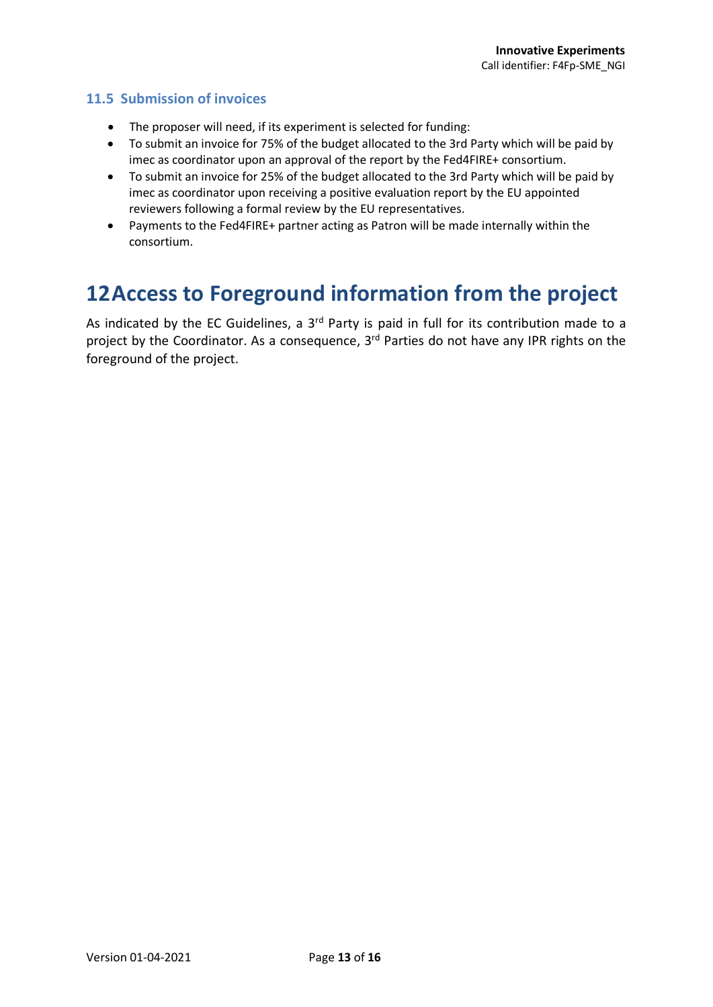#### <span id="page-12-0"></span>**11.5 Submission of invoices**

- The proposer will need, if its experiment is selected for funding:
- To submit an invoice for 75% of the budget allocated to the 3rd Party which will be paid by imec as coordinator upon an approval of the report by the Fed4FIRE+ consortium.
- To submit an invoice for 25% of the budget allocated to the 3rd Party which will be paid by imec as coordinator upon receiving a positive evaluation report by the EU appointed reviewers following a formal review by the EU representatives.
- Payments to the Fed4FIRE+ partner acting as Patron will be made internally within the consortium.

### <span id="page-12-1"></span>**12Access to Foreground information from the project**

As indicated by the EC Guidelines, a 3<sup>rd</sup> Party is paid in full for its contribution made to a project by the Coordinator. As a consequence, 3<sup>rd</sup> Parties do not have any IPR rights on the foreground of the project.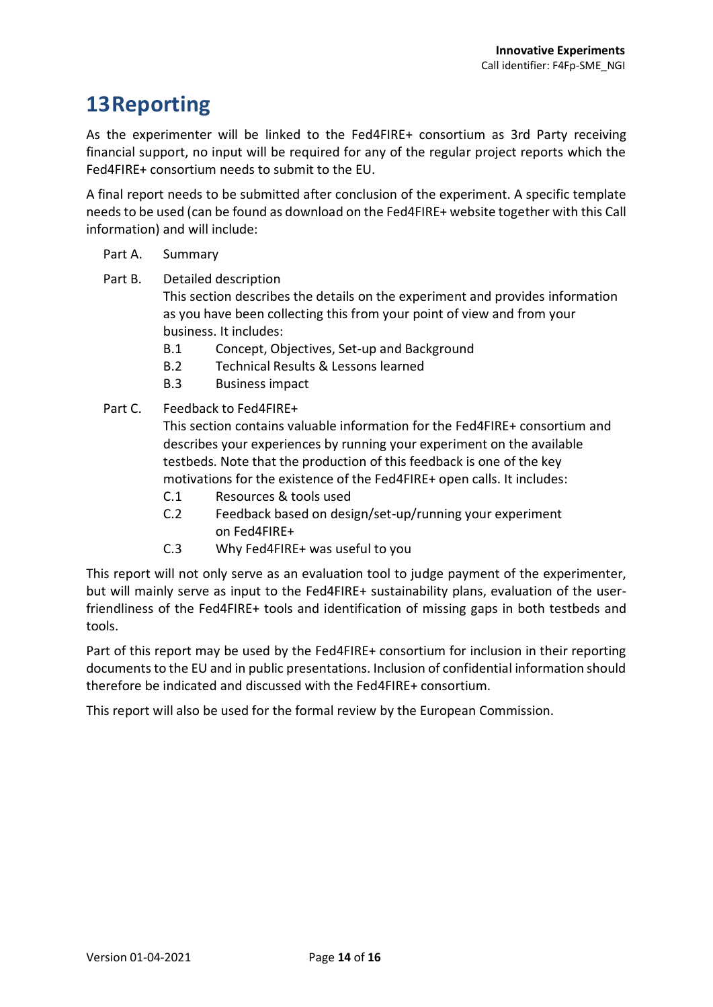# <span id="page-13-0"></span>**13Reporting**

As the experimenter will be linked to the Fed4FIRE+ consortium as 3rd Party receiving financial support, no input will be required for any of the regular project reports which the Fed4FIRE+ consortium needs to submit to the EU.

A final report needs to be submitted after conclusion of the experiment. A specific template needs to be used (can be found as download on the Fed4FIRE+ website together with this Call information) and will include:

#### Part A. Summary

Part B. Detailed description

This section describes the details on the experiment and provides information as you have been collecting this from your point of view and from your business. It includes:

- B.1 Concept, Objectives, Set-up and Background
- B.2 Technical Results & Lessons learned
- B.3 Business impact
- Part C. Feedback to Fed4FIRE+

This section contains valuable information for the Fed4FIRE+ consortium and describes your experiences by running your experiment on the available testbeds. Note that the production of this feedback is one of the key motivations for the existence of the Fed4FIRE+ open calls. It includes:

- C.1 Resources & tools used
- C.2 Feedback based on design/set-up/running your experiment on Fed4FIRE+
- C.3 Why Fed4FIRE+ was useful to you

This report will not only serve as an evaluation tool to judge payment of the experimenter, but will mainly serve as input to the Fed4FIRE+ sustainability plans, evaluation of the userfriendliness of the Fed4FIRE+ tools and identification of missing gaps in both testbeds and tools.

Part of this report may be used by the Fed4FIRE+ consortium for inclusion in their reporting documents to the EU and in public presentations. Inclusion of confidential information should therefore be indicated and discussed with the Fed4FIRE+ consortium.

This report will also be used for the formal review by the European Commission.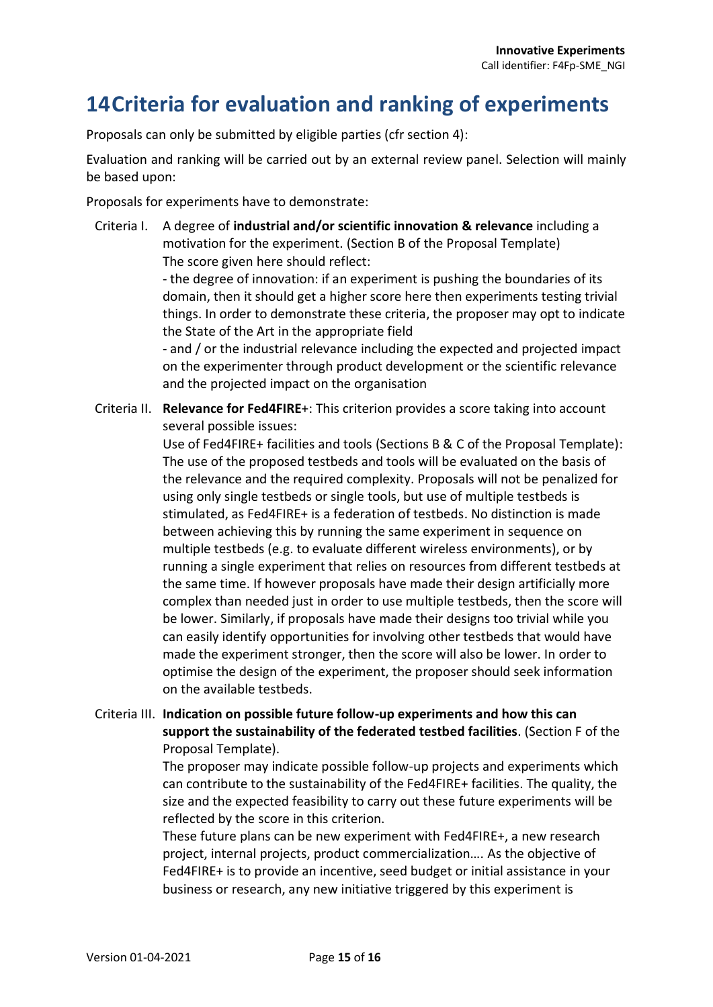# <span id="page-14-0"></span>**14Criteria for evaluation and ranking of experiments**

Proposals can only be submitted by eligible parties (cfr section 4):

Evaluation and ranking will be carried out by an external review panel. Selection will mainly be based upon:

Proposals for experiments have to demonstrate:

Criteria I. A degree of **industrial and/or scientific innovation & relevance** including a motivation for the experiment. (Section B of the Proposal Template) The score given here should reflect:

> - the degree of innovation: if an experiment is pushing the boundaries of its domain, then it should get a higher score here then experiments testing trivial things. In order to demonstrate these criteria, the proposer may opt to indicate the State of the Art in the appropriate field

> - and / or the industrial relevance including the expected and projected impact on the experimenter through product development or the scientific relevance and the projected impact on the organisation

Criteria II. **Relevance for Fed4FIRE**+: This criterion provides a score taking into account several possible issues:

> Use of Fed4FIRE+ facilities and tools (Sections B & C of the Proposal Template): The use of the proposed testbeds and tools will be evaluated on the basis of the relevance and the required complexity. Proposals will not be penalized for using only single testbeds or single tools, but use of multiple testbeds is stimulated, as Fed4FIRE+ is a federation of testbeds. No distinction is made between achieving this by running the same experiment in sequence on multiple testbeds (e.g. to evaluate different wireless environments), or by running a single experiment that relies on resources from different testbeds at the same time. If however proposals have made their design artificially more complex than needed just in order to use multiple testbeds, then the score will be lower. Similarly, if proposals have made their designs too trivial while you can easily identify opportunities for involving other testbeds that would have made the experiment stronger, then the score will also be lower. In order to optimise the design of the experiment, the proposer should seek information on the available testbeds.

Criteria III. **Indication on possible future follow-up experiments and how this can support the sustainability of the federated testbed facilities**. (Section F of the Proposal Template).

> The proposer may indicate possible follow-up projects and experiments which can contribute to the sustainability of the Fed4FIRE+ facilities. The quality, the size and the expected feasibility to carry out these future experiments will be reflected by the score in this criterion.

These future plans can be new experiment with Fed4FIRE+, a new research project, internal projects, product commercialization…. As the objective of Fed4FIRE+ is to provide an incentive, seed budget or initial assistance in your business or research, any new initiative triggered by this experiment is